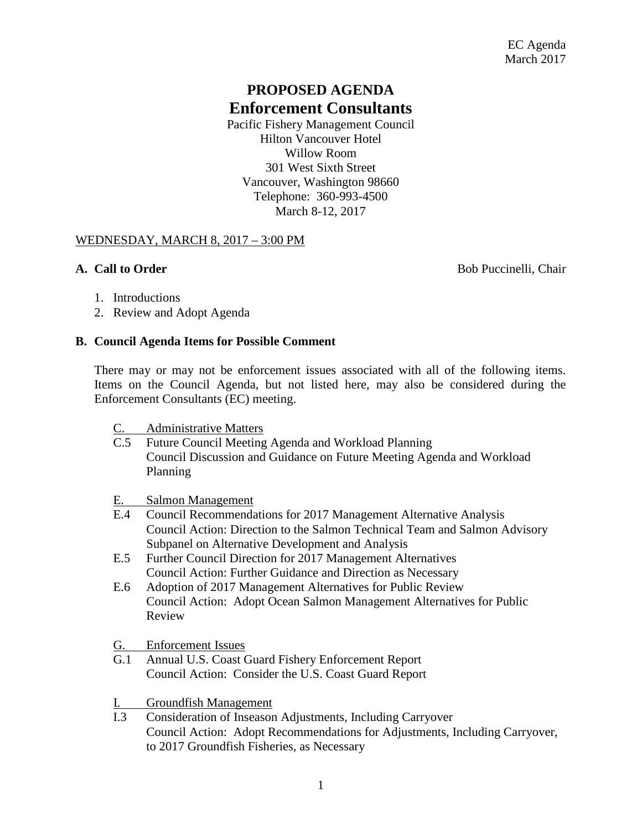# **PROPOSED AGENDA Enforcement Consultants**

Pacific Fishery Management Council Hilton Vancouver Hotel Willow Room 301 West Sixth Street Vancouver, Washington 98660 Telephone: 360-993-4500 March 8-12, 2017

### WEDNESDAY, MARCH 8, 2017 – 3:00 PM

**A. Call to Order** Bob Puccinelli, Chair

- 1. Introductions
- 2. Review and Adopt Agenda

### **B. Council Agenda Items for Possible Comment**

There may or may not be enforcement issues associated with all of the following items. Items on the Council Agenda, but not listed here, may also be considered during the Enforcement Consultants (EC) meeting.

- C. Administrative Matters
- C.5 Future Council Meeting Agenda and Workload Planning Council Discussion and Guidance on Future Meeting Agenda and Workload Planning

# E. Salmon Management<br>E.4 Council Recommenda

- Council Recommendations for 2017 Management Alternative Analysis Council Action: Direction to the Salmon Technical Team and Salmon Advisory Subpanel on Alternative Development and Analysis
- E.5 Further Council Direction for 2017 Management Alternatives Council Action: Further Guidance and Direction as Necessary
- E.6 Adoption of 2017 Management Alternatives for Public Review Council Action: Adopt Ocean Salmon Management Alternatives for Public Review
- G. Enforcement Issues
- G.1 Annual U.S. Coast Guard Fishery Enforcement Report Council Action: Consider the U.S. Coast Guard Report
- I. Groundfish Management
- I.3 Consideration of Inseason Adjustments, Including Carryover Council Action: Adopt Recommendations for Adjustments, Including Carryover, to 2017 Groundfish Fisheries, as Necessary